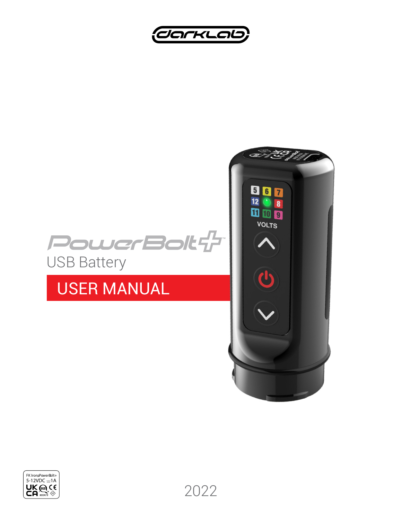



# USER MANUAL



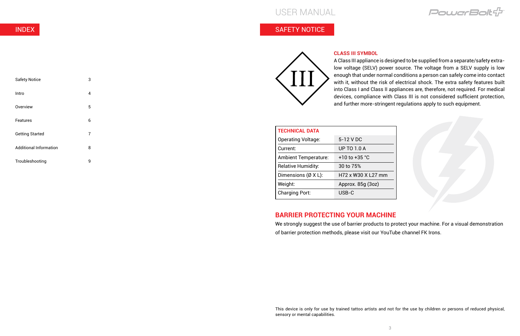### USER MANUAL

INDEX

| <b>Safety Notice</b>          | 3 |
|-------------------------------|---|
| Intro                         | 4 |
| Overview                      | 5 |
| <b>Features</b>               | 6 |
| <b>Getting Started</b>        | 7 |
| <b>Additional Information</b> | 8 |
| Troubleshooting               | g |

#### **CLASS III SYMBOL**

A Class III appliance is designed to be supplied from a separate/safety extralow voltage (SELV) power source. The voltage from a SELV supply is low enough that under normal conditions a person can safely come into contact with it, without the risk of electrical shock. The extra safety features built into Class I and Class II appliances are, therefore, not required. For medical devices, compliance with Class III is not considered sufficient protection, and further more-stringent regulations apply to such equipment.

### SAFETY NOTICE



This device is only for use by trained tattoo artists and not for the use by children or persons of reduced physical,

PowerBolt<sup>1</sup>



#### **BARRIER PROTECTING YOUR MACHINE**

| <b>TECHNICAL DATA</b>               |                    |
|-------------------------------------|--------------------|
| <b>Operating Voltage:</b>           | 5-12 V DC          |
| Current:                            | <b>UP TO 1.0 A</b> |
| <b>Ambient Temperature:</b>         | $+10$ to $+35$ °C  |
| <b>Relative Humidity:</b>           | 30 to 75%          |
| Dimensions $(\emptyset \times L)$ : | H72 x W30 X L27 mm |
| Weight:                             | Approx. 85q (3oz)  |
| <b>Charging Port:</b>               | USB-C              |
|                                     |                    |

We strongly suggest the use of barrier products to protect your machine. For a visual demonstration of barrier protection methods, please visit our YouTube channel FK Irons.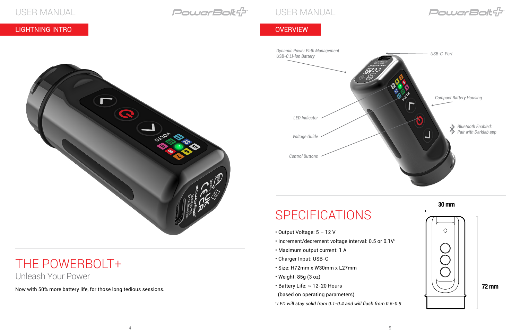USER MANUAL **PowerBolt**: Promotor Power

### LIGHTNING INTRO CONTROL CONTROL CONTROL CONTROL CONTROL CONTROL CONTROL CONTROL CONTROL CONTROL CONTROL CONTRO

# SPECIFICATIONS

- Output Voltage: 5 12 V
- Increment/decrement voltage interval: 0.5 or 0.1V\*
- Maximum output current: 1 A
- Charger Input: USB-C
- Size: H72mm x W30mm x L27mm
- Weight: 85g (3 oz)
- Battery Life: ~ 12-20 Hours

## THE POWERBOLT+ Unleash Your Power



(based on operating parameters)

*\* LED will stay solid from 0.1-0.4 and will flash from 0.5-0.9*

Now with 50% more battery life, for those long tedious sessions.

 $\Omega$ 

**Control** 



**30 mm**



**72 mm**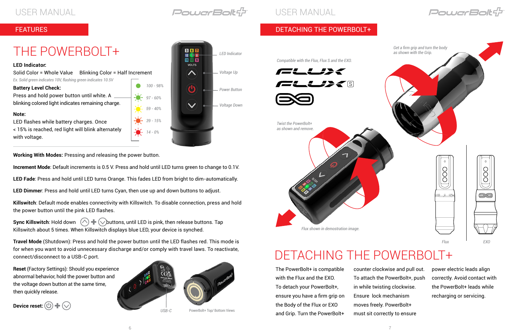USER MANUAL CONFIDENCE EXPLORE POWER FOR THE USER MANUAL

**Working With Modes:** Pressing and releasing the power button.

**Increment Mode**: Default increments is 0.5 V. Press and hold until LED turns green to change to 0.1V.

**LED Fade**: Press and hold until LED turns Orange. This fades LED from bright to dim-automatically.

**LED Dimmer**: Press and hold until LED turns Cyan, then use up and down buttons to adjust.

**Sync Killswitch**: Hold down  $\left(\bigwedge \right)$   $\leftarrow$   $\left(\bigvee$  buttons, until LED is pink, then release buttons. Tap Killswitch about 5 times. When Killswitch displays blue LED, your device is synched.

**Killswitch**: Default mode enables connectivity with Killswitch. To disable connection, press and hold the power button until the pink LED flashes.

**Travel Mode** (Shutdown): Press and hold the power button until the LED flashes red. This mode is for when you want to avoid unnecessary discharge and/or comply with travel laws. To reactivate, connect/disconnect to a USB-C port.

**Reset** (Factory Settings): Should you experience abnormal behavior, hold the power button and the voltage down button at the same time, then quickly release.

# THE POWERBOLT+



PowerBolt+ Top/ Bottom Views



#### **LED Indicator:**





| <b>Blinking Color = Half Increment</b><br>Solid Color = Whole Value |  |                       |  |  |
|---------------------------------------------------------------------|--|-----------------------|--|--|
| Ex. Solid green indicates 10V, flashing green indicates 10.5V       |  |                       |  |  |
| <b>Battery Level Check:</b>                                         |  | $100 - 989$           |  |  |
| Press and hold power button until white. A                          |  | $-97 - 60%$           |  |  |
| blinking colored light indicates remaining charge.                  |  |                       |  |  |
| Note:                                                               |  | $-6 - 59 - 40%$       |  |  |
| LED flashes while battery charges. Once                             |  | $-8 - 39 - 15%$       |  |  |
| < 15% is reached, red light will blink alternately                  |  | $\frac{1}{2}$ 14 - 0% |  |  |

with voltage.

**FEATURES** 

### DETACHING THE POWERBOLT+

The PowerBolt+ is compatible with the Flux and the EXO. To detach your PowerBolt+, ensure you have a firm grip on the Body of the Flux or EXO and Grip. Turn the PowerBolt+

counter clockwise and pull out. To attach the PowerBolt+, push in while twisting clockwise. moves freely. PowerBolt+ must sit correctly to ensure

Ensure lock mechanism

power electric leads align correctly. Avoid contact with the PowerBolt+ leads while recharging or servicing.



*Twist the PowerBolt+ as shown and remove. Flux shown in demostration image.*

# DETACHING THE POWERBOLT+

*Compatible with the Flux, Flux S and the EXO.*





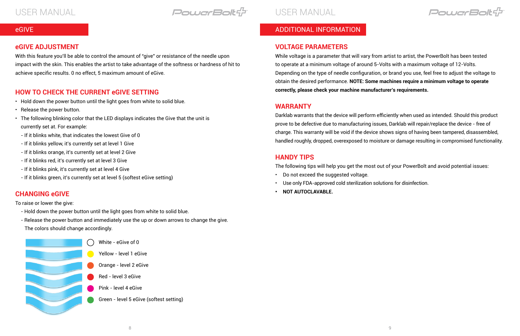USER MANUAL **External Follic Format Bolt of T** 

#### **VOLTAGE PARAMETERS**

While voltage is a parameter that will vary from artist to artist, the PowerBolt has been tested to operate at a minimum voltage of around 5-Volts with a maximum voltage of 12-Volts. Depending on the type of needle configuration, or brand you use, feel free to adjust the voltage to obtain the desired performance. **NOTE: Some machines require a minimum voltage to operate correctly, please check your machine manufacturer's requirements.**

#### **WARRANTY**

Darklab warrants that the device will perform efficiently when used as intended. Should this product prove to be defective due to manufacturing issues, Darklab will repair/replace the device - free of charge. This warranty will be void if the device shows signs of having been tampered, disassembled, handled roughly, dropped, overexposed to moisture or damage resulting in compromised functionality.

#### **HANDY TIPS**

The following tips will help you get the most out of your PowerBolt and avoid potential issues:

- Do not exceed the suggested voltage.
- Use only FDA-approved cold sterilization solutions for disinfection.
- **• NOT AUTOCLAVABLE.**

PowerBoltf

### ADDITIONAL INFORMATION

#### **eGIVE ADJUSTMENT**

With this feature you'll be able to control the amount of "give" or resistance of the needle upon impact with the skin. This enables the artist to take advantage of the softness or hardness of hit to achieve specific results. 0 no effect, 5 maximum amount of eGive.

#### eGIVE

### **HOW TO CHECK THE CURRENT eGIVE SETTING**

- Hold down the power button until the light goes from white to solid blue.
- Release the power button.
- The following blinking color that the LED displays indicates the Give that the unit is currently set at. For example:
- If it blinks white, that indicates the lowest Give of 0
- If it blinks yellow, it's currently set at level 1 Give
- If it blinks orange, it's currently set at level 2 Give
- If it blinks red, it's currently set at level 3 Give
- If it blinks pink, it's currently set at level 4 Give
- If it blinks green, it's currently set at level 5 (softest eGive setting)

#### **CHANGING eGIVE**

To raise or lower the give:

- Hold down the power button until the light goes from white to solid blue.
- Release the power button and immediately use the up or down arrows to change the give. The colors should change accordingly.